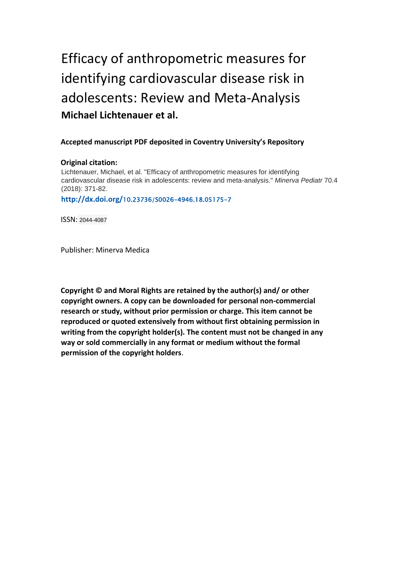# Efficacy of anthropometric measures for identifying cardiovascular disease risk in adolescents: Review and Meta-Analysis **Michael Lichtenauer et al.**

### **Accepted manuscript PDF deposited in Coventry University's Repository**

#### **Original citation:**

Lichtenauer, Michael, et al. "Efficacy of anthropometric measures for identifying cardiovascular disease risk in adolescents: review and meta-analysis." *Minerva Pediatr* 70.4 (2018): 371-82. **http://dx.doi.org/**10.23736/S0026-4946.18.05175-7

ISSN: 2044-4087

Publisher: Minerva Medica

**Copyright © and Moral Rights are retained by the author(s) and/ or other copyright owners. A copy can be downloaded for personal non-commercial research or study, without prior permission or charge. This item cannot be reproduced or quoted extensively from without first obtaining permission in writing from the copyright holder(s). The content must not be changed in any way or sold commercially in any format or medium without the formal permission of the copyright holders**.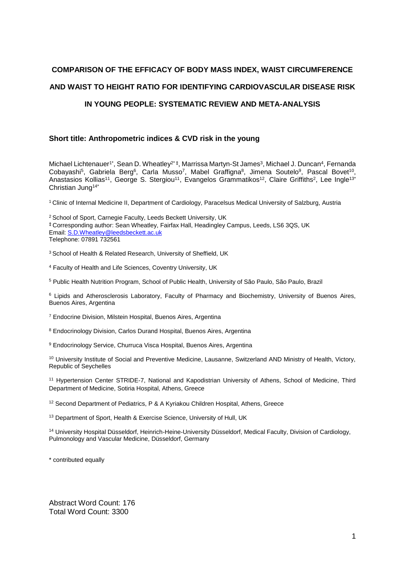## **COMPARISON OF THE EFFICACY OF BODY MASS INDEX, WAIST CIRCUMFERENCE AND WAIST TO HEIGHT RATIO FOR IDENTIFYING CARDIOVASCULAR DISEASE RISK**

## **IN YOUNG PEOPLE: SYSTEMATIC REVIEW AND META-ANALYSIS**

## **Short title: Anthropometric indices & CVD risk in the young**

Michael Lichtenauer<sup>1\*</sup>, Sean D. Wheatley<sup>2\*‡</sup>, Marrissa Martyn-St James<sup>3</sup>, Michael J. Duncan<sup>4</sup>, Fernanda Cobayashi<sup>5</sup>, Gabriela Berg<sup>6</sup>, Carla Musso<sup>7</sup>, Mabel Graffigna<sup>8</sup>, Jimena Soutelo<sup>9</sup>, Pascal Bovet<sup>10</sup>, Anastasios Kollias<sup>11</sup>, George S. Stergiou<sup>11</sup>, Evangelos Grammatikos<sup>12</sup>, Claire Griffiths<sup>2</sup>, Lee Ingle<sup>13</sup>' Christian Jung14\*

<sup>1</sup> Clinic of Internal Medicine II, Department of Cardiology, Paracelsus Medical University of Salzburg, Austria

<sup>2</sup> School of Sport, Carnegie Faculty, Leeds Beckett University, UK ‡ Corresponding author: Sean Wheatley, Fairfax Hall, Headingley Campus, Leeds, LS6 3QS, UK Email[: S.D.Wheatley@leedsbeckett.ac.uk](mailto:S.D.Wheatley@leedsbeckett.ac.uk) Telephone: 07891 732561

<sup>3</sup> School of Health & Related Research, University of Sheffield, UK

<sup>4</sup> Faculty of Health and Life Sciences, Coventry University, UK

<sup>5</sup> Public Health Nutrition Program, School of Public Health, University of São Paulo, São Paulo, Brazil

<sup>6</sup> Lipids and Atherosclerosis Laboratory, Faculty of Pharmacy and Biochemistry, University of Buenos Aires, Buenos Aires, Argentina

<sup>7</sup> Endocrine Division, Milstein Hospital, Buenos Aires, Argentina

<sup>8</sup> Endocrinology Division, Carlos Durand Hospital, Buenos Aires, Argentina

<sup>9</sup> Endocrinology Service, Churruca Visca Hospital, Buenos Aires, Argentina

<sup>10</sup> University Institute of Social and Preventive Medicine, Lausanne, Switzerland AND Ministry of Health, Victory, Republic of Seychelles

<sup>11</sup> Hypertension Center STRIDE-7, National and Kapodistrian University of Athens, School of Medicine, Third Department of Medicine, Sotiria Hospital, Athens, Greece

<sup>12</sup> Second Department of Pediatrics, P & A Kyriakou Children Hospital, Athens, Greece

<sup>13</sup> Department of Sport, Health & Exercise Science, University of Hull, UK

<sup>14</sup> University Hospital Düsseldorf, Heinrich-Heine-University Düsseldorf, Medical Faculty, Division of Cardiology, Pulmonology and Vascular Medicine, Düsseldorf, Germany

\* contributed equally

Abstract Word Count: 176 Total Word Count: 3300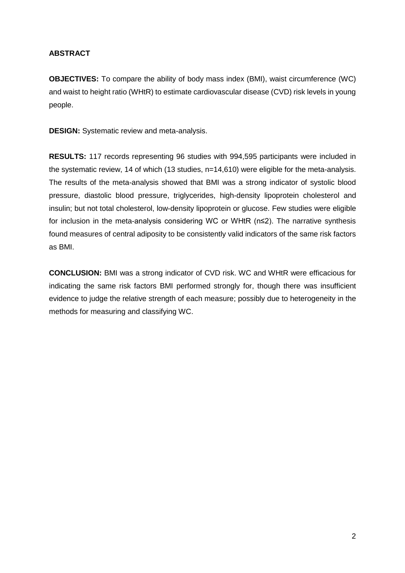## **ABSTRACT**

**OBJECTIVES:** To compare the ability of body mass index (BMI), waist circumference (WC) and waist to height ratio (WHtR) to estimate cardiovascular disease (CVD) risk levels in young people.

**DESIGN:** Systematic review and meta-analysis.

**RESULTS:** 117 records representing 96 studies with 994,595 participants were included in the systematic review, 14 of which (13 studies, n=14,610) were eligible for the meta-analysis. The results of the meta-analysis showed that BMI was a strong indicator of systolic blood pressure, diastolic blood pressure, triglycerides, high-density lipoprotein cholesterol and insulin; but not total cholesterol, low-density lipoprotein or glucose. Few studies were eligible for inclusion in the meta-analysis considering WC or WHtR (n≤2). The narrative synthesis found measures of central adiposity to be consistently valid indicators of the same risk factors as BMI.

**CONCLUSION:** BMI was a strong indicator of CVD risk. WC and WHtR were efficacious for indicating the same risk factors BMI performed strongly for, though there was insufficient evidence to judge the relative strength of each measure; possibly due to heterogeneity in the methods for measuring and classifying WC.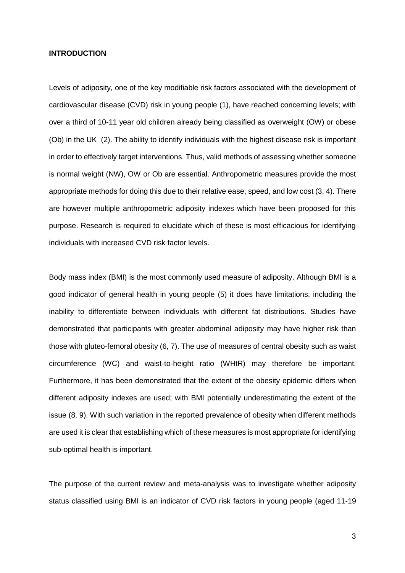#### **INTRODUCTION**

Levels of adiposity, one of the key modifiable risk factors associated with the development of cardiovascular disease (CVD) risk in young people [\(1\)](#page-17-0), have reached concerning levels; with over a third of 10-11 year old children already being classified as overweight (OW) or obese (Ob) in the UK [\(2\)](#page-17-1). The ability to identify individuals with the highest disease risk is important in order to effectively target interventions. Thus, valid methods of assessing whether someone is normal weight (NW), OW or Ob are essential. Anthropometric measures provide the most appropriate methods for doing this due to their relative ease, speed, and low cost [\(3,](#page-17-2) [4\)](#page-17-3). There are however multiple anthropometric adiposity indexes which have been proposed for this purpose. Research is required to elucidate which of these is most efficacious for identifying individuals with increased CVD risk factor levels.

Body mass index (BMI) is the most commonly used measure of adiposity. Although BMI is a good indicator of general health in young people [\(5\)](#page-17-4) it does have limitations, including the inability to differentiate between individuals with different fat distributions. Studies have demonstrated that participants with greater abdominal adiposity may have higher risk than those with gluteo-femoral obesity [\(6,](#page-17-5) [7\)](#page-17-6). The use of measures of central obesity such as waist circumference (WC) and waist-to-height ratio (WHtR) may therefore be important. Furthermore, it has been demonstrated that the extent of the obesity epidemic differs when different adiposity indexes are used; with BMI potentially underestimating the extent of the issue [\(8,](#page-17-7) [9\)](#page-17-8). With such variation in the reported prevalence of obesity when different methods are used it is clear that establishing which of these measures is most appropriate for identifying sub-optimal health is important.

The purpose of the current review and meta-analysis was to investigate whether adiposity status classified using BMI is an indicator of CVD risk factors in young people (aged 11-19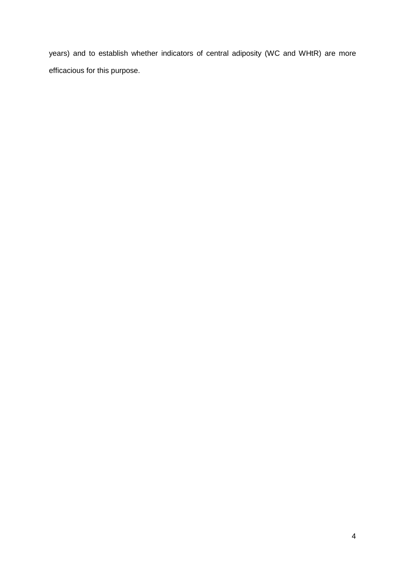years) and to establish whether indicators of central adiposity (WC and WHtR) are more efficacious for this purpose.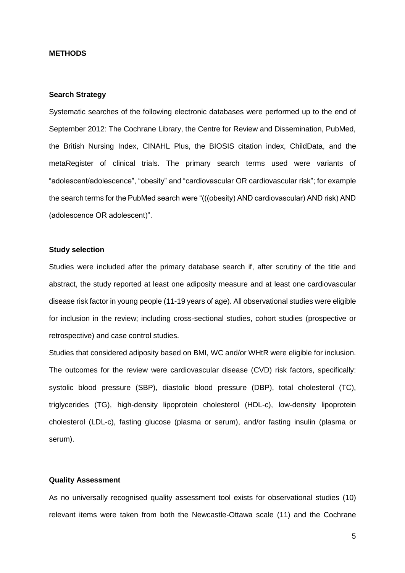#### **METHODS**

#### **Search Strategy**

Systematic searches of the following electronic databases were performed up to the end of September 2012: The Cochrane Library, the Centre for Review and Dissemination, PubMed, the British Nursing Index, CINAHL Plus, the BIOSIS citation index, ChildData, and the metaRegister of clinical trials. The primary search terms used were variants of "adolescent/adolescence", "obesity" and "cardiovascular OR cardiovascular risk"; for example the search terms for the PubMed search were "(((obesity) AND cardiovascular) AND risk) AND (adolescence OR adolescent)".

#### **Study selection**

Studies were included after the primary database search if, after scrutiny of the title and abstract, the study reported at least one adiposity measure and at least one cardiovascular disease risk factor in young people (11-19 years of age). All observational studies were eligible for inclusion in the review; including cross-sectional studies, cohort studies (prospective or retrospective) and case control studies.

Studies that considered adiposity based on BMI, WC and/or WHtR were eligible for inclusion. The outcomes for the review were cardiovascular disease (CVD) risk factors, specifically: systolic blood pressure (SBP), diastolic blood pressure (DBP), total cholesterol (TC), triglycerides (TG), high-density lipoprotein cholesterol (HDL-c), low-density lipoprotein cholesterol (LDL-c), fasting glucose (plasma or serum), and/or fasting insulin (plasma or serum).

#### **Quality Assessment**

As no universally recognised quality assessment tool exists for observational studies [\(10\)](#page-17-9) relevant items were taken from both the Newcastle-Ottawa scale [\(11\)](#page-17-10) and the Cochrane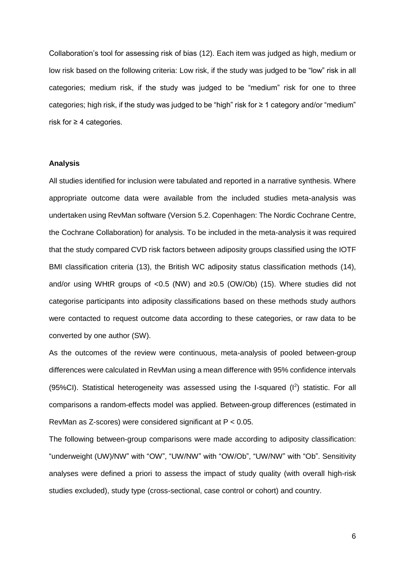Collaboration's tool for assessing risk of bias [\(12\)](#page-17-11). Each item was judged as high, medium or low risk based on the following criteria: Low risk, if the study was judged to be "low" risk in all categories; medium risk, if the study was judged to be "medium" risk for one to three categories; high risk, if the study was judged to be "high" risk for  $\geq 1$  category and/or "medium" risk for  $\geq 4$  categories.

#### **Analysis**

All studies identified for inclusion were tabulated and reported in a narrative synthesis. Where appropriate outcome data were available from the included studies meta-analysis was undertaken using RevMan software (Version 5.2. Copenhagen: The Nordic Cochrane Centre, the Cochrane Collaboration) for analysis. To be included in the meta-analysis it was required that the study compared CVD risk factors between adiposity groups classified using the IOTF BMI classification criteria [\(13\)](#page-17-12), the British WC adiposity status classification methods [\(14\)](#page-17-13), and/or using WHtR groups of <0.5 (NW) and  $\geq$ 0.5 (OW/Ob) [\(15\)](#page-17-14). Where studies did not categorise participants into adiposity classifications based on these methods study authors were contacted to request outcome data according to these categories, or raw data to be converted by one author (SW).

As the outcomes of the review were continuous, meta-analysis of pooled between-group differences were calculated in RevMan using a mean difference with 95% confidence intervals  $(95\%<sup>C</sup>)$ . Statistical heterogeneity was assessed using the I-squared  $(1^2)$  statistic. For all comparisons a random-effects model was applied. Between-group differences (estimated in RevMan as Z-scores) were considered significant at P < 0.05.

The following between-group comparisons were made according to adiposity classification: "underweight (UW)/NW" with "OW", "UW/NW" with "OW/Ob", "UW/NW" with "Ob". Sensitivity analyses were defined a priori to assess the impact of study quality (with overall high-risk studies excluded), study type (cross-sectional, case control or cohort) and country.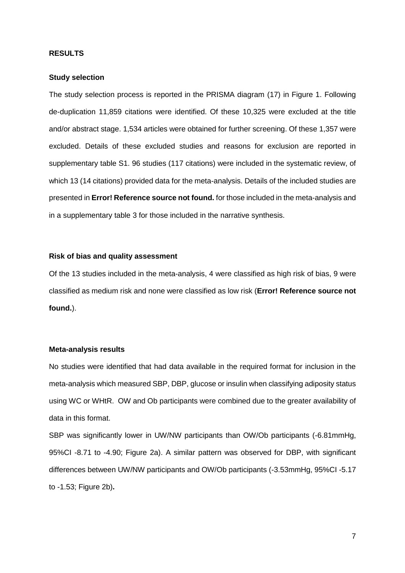#### **RESULTS**

#### **Study selection**

The study selection process is reported in the PRISMA diagram [\(17\)](#page-17-15) in Figure 1. Following de-duplication 11,859 citations were identified. Of these 10,325 were excluded at the title and/or abstract stage. 1,534 articles were obtained for further screening. Of these 1,357 were excluded. Details of these excluded studies and reasons for exclusion are reported in supplementary table S1. 96 studies (117 citations) were included in the systematic review, of which 13 (14 citations) provided data for the meta-analysis. Details of the included studies are presented in **Error! Reference source not found.** for those included in the meta-analysis and in a supplementary table 3 for those included in the narrative synthesis.

#### **Risk of bias and quality assessment**

Of the 13 studies included in the meta-analysis, 4 were classified as high risk of bias, 9 were classified as medium risk and none were classified as low risk (**Error! Reference source not found.**).

#### **Meta-analysis results**

No studies were identified that had data available in the required format for inclusion in the meta-analysis which measured SBP, DBP, glucose or insulin when classifying adiposity status using WC or WHtR. OW and Ob participants were combined due to the greater availability of data in this format.

SBP was significantly lower in UW/NW participants than OW/Ob participants (-6.81mmHg, 95%CI -8.71 to -4.90; Figure 2a). A similar pattern was observed for DBP, with significant differences between UW/NW participants and OW/Ob participants (-3.53mmHg, 95%CI -5.17 to -1.53; Figure 2b)**.**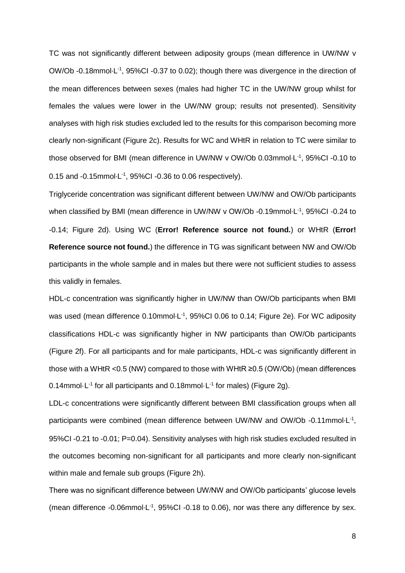TC was not significantly different between adiposity groups (mean difference in UW/NW v OW/Ob -0.18mmol $L^{-1}$ , 95%Cl -0.37 to 0.02); though there was divergence in the direction of the mean differences between sexes (males had higher TC in the UW/NW group whilst for females the values were lower in the UW/NW group; results not presented). Sensitivity analyses with high risk studies excluded led to the results for this comparison becoming more clearly non-significant (Figure 2c). Results for WC and WHtR in relation to TC were similar to those observed for BMI (mean difference in UW/NW v OW/Ob 0.03mmol·L<sup>-1</sup>, 95%CI -0.10 to 0.15 and  $-0.15$ mmol $\cdot$ L<sup>-1</sup>, 95%CI  $-0.36$  to 0.06 respectively).

Triglyceride concentration was significant different between UW/NW and OW/Ob participants when classified by BMI (mean difference in UW/NW v OW/Ob -0.19mmol·L<sup>-1</sup>, 95%CI -0.24 to -0.14; Figure 2d). Using WC (**Error! Reference source not found.**) or WHtR (**Error! Reference source not found.**) the difference in TG was significant between NW and OW/Ob participants in the whole sample and in males but there were not sufficient studies to assess this validly in females.

HDL-c concentration was significantly higher in UW/NW than OW/Ob participants when BMI was used (mean difference 0.10mmol $L^{-1}$ , 95%CI 0.06 to 0.14; Figure 2e). For WC adiposity classifications HDL-c was significantly higher in NW participants than OW/Ob participants (Figure 2f). For all participants and for male participants, HDL-c was significantly different in those with a WHtR <0.5 (NW) compared to those with WHtR ≥0.5 (OW/Ob) (mean differences 0.14mmol $\cdot$ L<sup>-1</sup> for all participants and 0.18mmol $\cdot$ L<sup>-1</sup> for males) (Figure 2g).

LDL-c concentrations were significantly different between BMI classification groups when all participants were combined (mean difference between UW/NW and OW/Ob -0.11mmol·L<sup>-1</sup>, 95%CI -0.21 to -0.01; P=0.04). Sensitivity analyses with high risk studies excluded resulted in the outcomes becoming non-significant for all participants and more clearly non-significant within male and female sub groups (Figure 2h).

There was no significant difference between UW/NW and OW/Ob participants' glucose levels (mean difference -0.06mmol $L^{-1}$ , 95%CI -0.18 to 0.06), nor was there any difference by sex.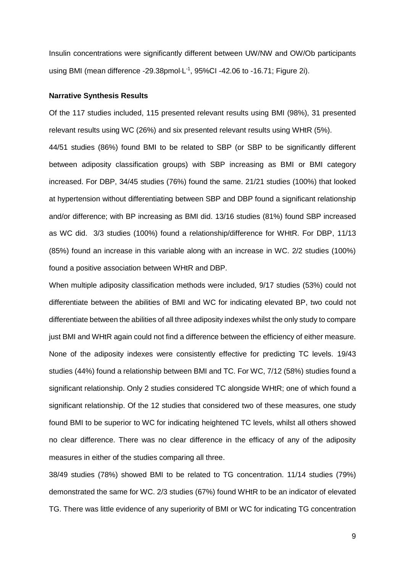Insulin concentrations were significantly different between UW/NW and OW/Ob participants using BMI (mean difference -29.38pmol·L<sup>-1</sup>, 95%CI -42.06 to -16.71; Figure 2i).

#### **Narrative Synthesis Results**

Of the 117 studies included, 115 presented relevant results using BMI (98%), 31 presented relevant results using WC (26%) and six presented relevant results using WHtR (5%). 44/51 studies (86%) found BMI to be related to SBP (or SBP to be significantly different between adiposity classification groups) with SBP increasing as BMI or BMI category increased. For DBP, 34/45 studies (76%) found the same. 21/21 studies (100%) that looked at hypertension without differentiating between SBP and DBP found a significant relationship and/or difference; with BP increasing as BMI did. 13/16 studies (81%) found SBP increased as WC did. 3/3 studies (100%) found a relationship/difference for WHtR. For DBP, 11/13 (85%) found an increase in this variable along with an increase in WC. 2/2 studies (100%) found a positive association between WHtR and DBP.

When multiple adiposity classification methods were included, 9/17 studies (53%) could not differentiate between the abilities of BMI and WC for indicating elevated BP, two could not differentiate between the abilities of all three adiposity indexes whilst the only study to compare just BMI and WHtR again could not find a difference between the efficiency of either measure. None of the adiposity indexes were consistently effective for predicting TC levels. 19/43 studies (44%) found a relationship between BMI and TC. For WC, 7/12 (58%) studies found a significant relationship. Only 2 studies considered TC alongside WHtR; one of which found a significant relationship. Of the 12 studies that considered two of these measures, one study found BMI to be superior to WC for indicating heightened TC levels, whilst all others showed no clear difference. There was no clear difference in the efficacy of any of the adiposity measures in either of the studies comparing all three.

38/49 studies (78%) showed BMI to be related to TG concentration. 11/14 studies (79%) demonstrated the same for WC. 2/3 studies (67%) found WHtR to be an indicator of elevated TG. There was little evidence of any superiority of BMI or WC for indicating TG concentration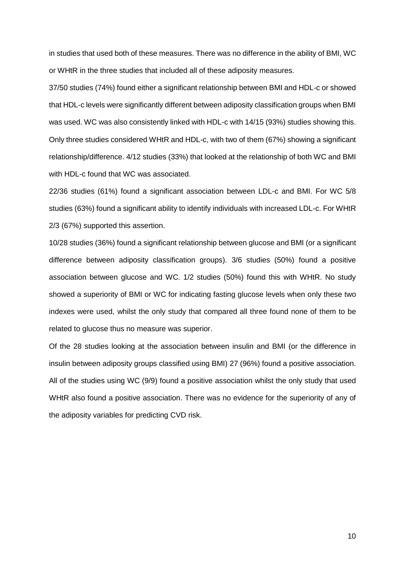in studies that used both of these measures. There was no difference in the ability of BMI, WC or WHtR in the three studies that included all of these adiposity measures.

37/50 studies (74%) found either a significant relationship between BMI and HDL-c or showed that HDL-c levels were significantly different between adiposity classification groups when BMI was used. WC was also consistently linked with HDL-c with 14/15 (93%) studies showing this. Only three studies considered WHtR and HDL-c, with two of them (67%) showing a significant relationship/difference. 4/12 studies (33%) that looked at the relationship of both WC and BMI with HDL-c found that WC was associated.

22/36 studies (61%) found a significant association between LDL-c and BMI. For WC 5/8 studies (63%) found a significant ability to identify individuals with increased LDL-c. For WHtR 2/3 (67%) supported this assertion.

10/28 studies (36%) found a significant relationship between glucose and BMI (or a significant difference between adiposity classification groups). 3/6 studies (50%) found a positive association between glucose and WC. 1/2 studies (50%) found this with WHtR. No study showed a superiority of BMI or WC for indicating fasting glucose levels when only these two indexes were used, whilst the only study that compared all three found none of them to be related to glucose thus no measure was superior.

Of the 28 studies looking at the association between insulin and BMI (or the difference in insulin between adiposity groups classified using BMI) 27 (96%) found a positive association. All of the studies using WC (9/9) found a positive association whilst the only study that used WHtR also found a positive association. There was no evidence for the superiority of any of the adiposity variables for predicting CVD risk.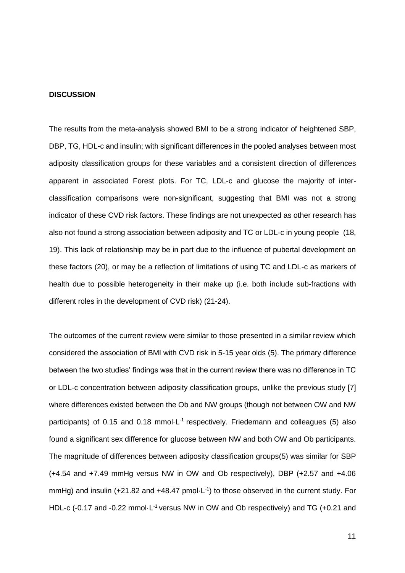#### **DISCUSSION**

The results from the meta-analysis showed BMI to be a strong indicator of heightened SBP, DBP, TG, HDL-c and insulin; with significant differences in the pooled analyses between most adiposity classification groups for these variables and a consistent direction of differences apparent in associated Forest plots. For TC, LDL-c and glucose the majority of interclassification comparisons were non-significant, suggesting that BMI was not a strong indicator of these CVD risk factors. These findings are not unexpected as other research has also not found a strong association between adiposity and TC or LDL-c in young people [\(18,](#page-17-16) [19\)](#page-17-17). This lack of relationship may be in part due to the influence of pubertal development on these factors [\(20\)](#page-18-0), or may be a reflection of limitations of using TC and LDL-c as markers of health due to possible heterogeneity in their make up (i.e. both include sub-fractions with different roles in the development of CVD risk) [\(21-24\)](#page-18-1).

The outcomes of the current review were similar to those presented in a similar review which considered the association of BMI with CVD risk in 5-15 year olds [\(5\)](#page-17-4). The primary difference between the two studies' findings was that in the current review there was no difference in TC or LDL-c concentration between adiposity classification groups, unlike the previous study [7] where differences existed between the Ob and NW groups (though not between OW and NW participants) of 0.15 and 0.18 mmol $\cdot$ L<sup>-1</sup> respectively. Friedemann and colleagues [\(5\)](#page-17-4) also found a significant sex difference for glucose between NW and both OW and Ob participants. The magnitude of differences between adiposity classification groups[\(5\)](#page-17-4) was similar for SBP (+4.54 and +7.49 mmHg versus NW in OW and Ob respectively), DBP (+2.57 and +4.06 mmHg) and insulin  $(+21.82$  and  $+48.47$  pmol $\cdot$ L<sup>-1</sup>) to those observed in the current study. For HDL-c (-0.17 and -0.22 mmol $\cdot$ L<sup>-1</sup> versus NW in OW and Ob respectively) and TG (+0.21 and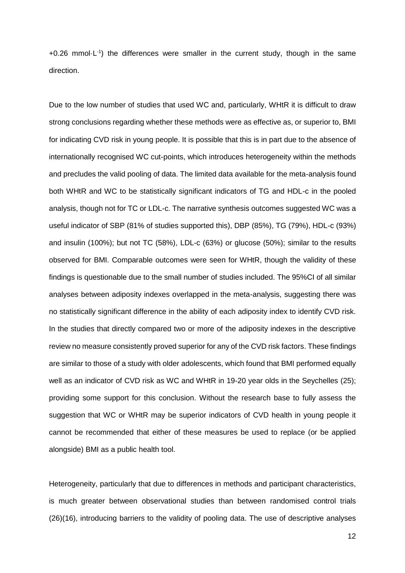$+0.26$  mmol $\cdot$ L<sup>-1</sup>) the differences were smaller in the current study, though in the same direction.

Due to the low number of studies that used WC and, particularly, WHtR it is difficult to draw strong conclusions regarding whether these methods were as effective as, or superior to, BMI for indicating CVD risk in young people. It is possible that this is in part due to the absence of internationally recognised WC cut-points, which introduces heterogeneity within the methods and precludes the valid pooling of data. The limited data available for the meta-analysis found both WHtR and WC to be statistically significant indicators of TG and HDL-c in the pooled analysis, though not for TC or LDL-c. The narrative synthesis outcomes suggested WC was a useful indicator of SBP (81% of studies supported this), DBP (85%), TG (79%), HDL-c (93%) and insulin (100%); but not TC (58%), LDL-c (63%) or glucose (50%); similar to the results observed for BMI. Comparable outcomes were seen for WHtR, though the validity of these findings is questionable due to the small number of studies included. The 95%CI of all similar analyses between adiposity indexes overlapped in the meta-analysis, suggesting there was no statistically significant difference in the ability of each adiposity index to identify CVD risk. In the studies that directly compared two or more of the adiposity indexes in the descriptive review no measure consistently proved superior for any of the CVD risk factors. These findings are similar to those of a study with older adolescents, which found that BMI performed equally well as an indicator of CVD risk as WC and WHtR in 19-20 year olds in the Seychelles [\(25\)](#page-18-2); providing some support for this conclusion. Without the research base to fully assess the suggestion that WC or WHtR may be superior indicators of CVD health in young people it cannot be recommended that either of these measures be used to replace (or be applied alongside) BMI as a public health tool.

Heterogeneity, particularly that due to differences in methods and participant characteristics, is much greater between observational studies than between randomised control trials [\(26\)](#page-18-3)[\(16\)](#page-17-18), introducing barriers to the validity of pooling data. The use of descriptive analyses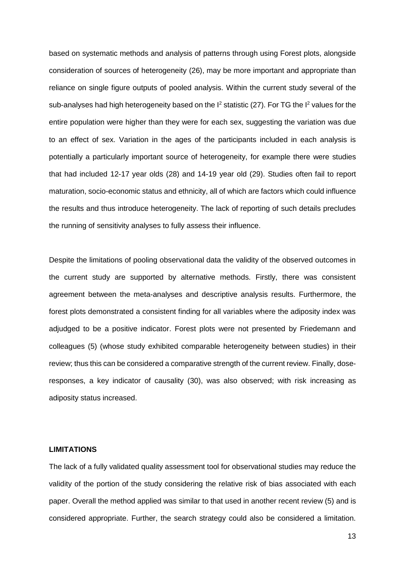based on systematic methods and analysis of patterns through using Forest plots, alongside consideration of sources of heterogeneity [\(26\)](#page-18-3), may be more important and appropriate than reliance on single figure outputs of pooled analysis. Within the current study several of the sub-analyses had high heterogeneity based on the  $I^2$  statistic [\(27\)](#page-18-4). For TG the  $I^2$  values for the entire population were higher than they were for each sex, suggesting the variation was due to an effect of sex. Variation in the ages of the participants included in each analysis is potentially a particularly important source of heterogeneity, for example there were studies that had included 12-17 year olds [\(28\)](#page-18-5) and 14-19 year old [\(29\)](#page-18-6). Studies often fail to report maturation, socio-economic status and ethnicity, all of which are factors which could influence the results and thus introduce heterogeneity. The lack of reporting of such details precludes the running of sensitivity analyses to fully assess their influence.

Despite the limitations of pooling observational data the validity of the observed outcomes in the current study are supported by alternative methods. Firstly, there was consistent agreement between the meta-analyses and descriptive analysis results. Furthermore, the forest plots demonstrated a consistent finding for all variables where the adiposity index was adjudged to be a positive indicator. Forest plots were not presented by Friedemann and colleagues [\(5\)](#page-17-4) (whose study exhibited comparable heterogeneity between studies) in their review; thus this can be considered a comparative strength of the current review. Finally, doseresponses, a key indicator of causality [\(30\)](#page-18-7), was also observed; with risk increasing as adiposity status increased.

#### **LIMITATIONS**

The lack of a fully validated quality assessment tool for observational studies may reduce the validity of the portion of the study considering the relative risk of bias associated with each paper. Overall the method applied was similar to that used in another recent review [\(5\)](#page-17-4) and is considered appropriate. Further, the search strategy could also be considered a limitation.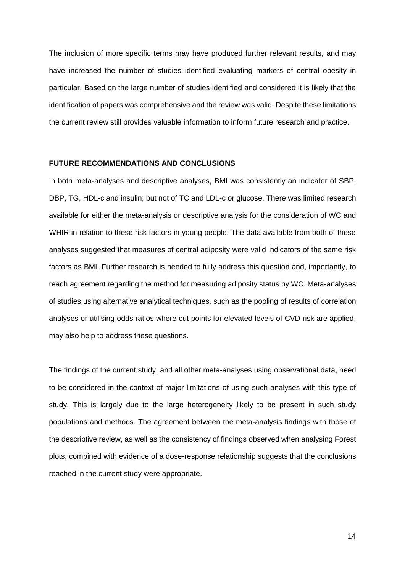The inclusion of more specific terms may have produced further relevant results, and may have increased the number of studies identified evaluating markers of central obesity in particular. Based on the large number of studies identified and considered it is likely that the identification of papers was comprehensive and the review was valid. Despite these limitations the current review still provides valuable information to inform future research and practice.

#### **FUTURE RECOMMENDATIONS AND CONCLUSIONS**

In both meta-analyses and descriptive analyses, BMI was consistently an indicator of SBP, DBP, TG, HDL-c and insulin; but not of TC and LDL-c or glucose. There was limited research available for either the meta-analysis or descriptive analysis for the consideration of WC and WHtR in relation to these risk factors in young people. The data available from both of these analyses suggested that measures of central adiposity were valid indicators of the same risk factors as BMI. Further research is needed to fully address this question and, importantly, to reach agreement regarding the method for measuring adiposity status by WC. Meta-analyses of studies using alternative analytical techniques, such as the pooling of results of correlation analyses or utilising odds ratios where cut points for elevated levels of CVD risk are applied, may also help to address these questions.

The findings of the current study, and all other meta-analyses using observational data, need to be considered in the context of major limitations of using such analyses with this type of study. This is largely due to the large heterogeneity likely to be present in such study populations and methods. The agreement between the meta-analysis findings with those of the descriptive review, as well as the consistency of findings observed when analysing Forest plots, combined with evidence of a dose-response relationship suggests that the conclusions reached in the current study were appropriate.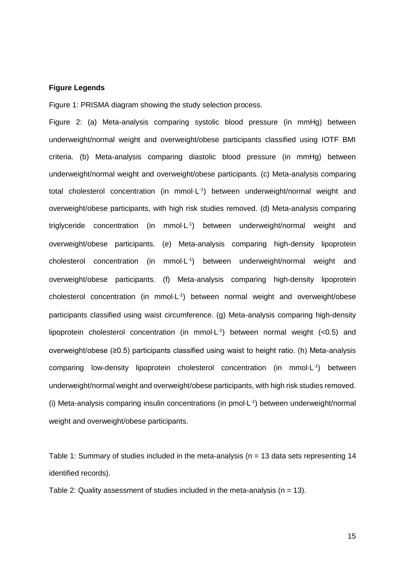#### **Figure Legends**

Figure 1: PRISMA diagram showing the study selection process.

Figure 2: (a) Meta-analysis comparing systolic blood pressure (in mmHg) between underweight/normal weight and overweight/obese participants classified using IOTF BMI criteria. (b) Meta-analysis comparing diastolic blood pressure (in mmHg) between underweight/normal weight and overweight/obese participants. (c) Meta-analysis comparing total cholesterol concentration (in mmol·L<sup>-1</sup>) between underweight/normal weight and overweight/obese participants, with high risk studies removed. (d) Meta-analysis comparing triglyceride concentration (in mmol·L<sup>-1</sup>) between underweight/normal weight and overweight/obese participants. (e) Meta-analysis comparing high-density lipoprotein cholesterol concentration (in mmol·L -1 ) between underweight/normal weight and overweight/obese participants. (f) Meta-analysis comparing high-density lipoprotein cholesterol concentration (in mmol·L<sup>-1</sup>) between normal weight and overweight/obese participants classified using waist circumference. (g) Meta-analysis comparing high-density lipoprotein cholesterol concentration (in mmol·L<sup>-1</sup>) between normal weight (<0.5) and overweight/obese (≥0.5) participants classified using waist to height ratio. (h) Meta-analysis comparing low-density lipoprotein cholesterol concentration (in mmol·L<sup>-1</sup>) between underweight/normal weight and overweight/obese participants, with high risk studies removed. (i) Meta-analysis comparing insulin concentrations (in pmol $\cdot$ L<sup>-1</sup>) between underweight/normal weight and overweight/obese participants.

Table 1: Summary of studies included in the meta-analysis ( $n = 13$  data sets representing 14 identified records).

Table 2: Quality assessment of studies included in the meta-analysis ( $n = 13$ ).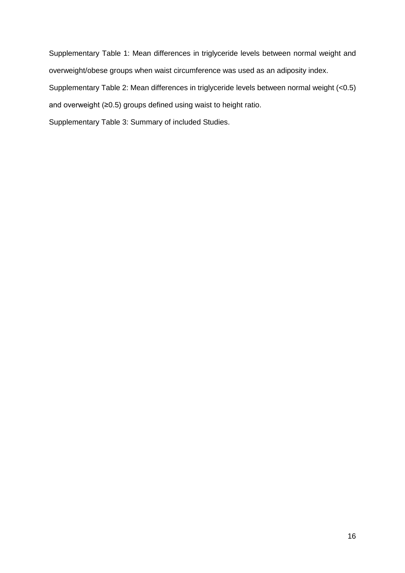Supplementary Table 1: Mean differences in triglyceride levels between normal weight and overweight/obese groups when waist circumference was used as an adiposity index. Supplementary Table 2: Mean differences in triglyceride levels between normal weight (<0.5) and overweight (≥0.5) groups defined using waist to height ratio.

Supplementary Table 3: Summary of included Studies.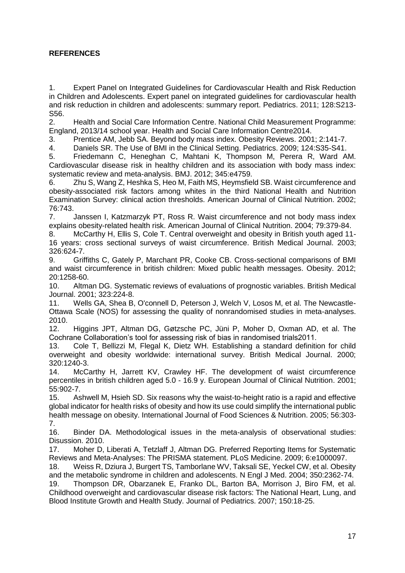## **REFERENCES**

<span id="page-17-0"></span>1. Expert Panel on Integrated Guidelines for Cardiovascular Health and Risk Reduction in Children and Adolescents. Expert panel on integrated guidelines for cardiovascular health and risk reduction in children and adolescents: summary report. Pediatrics. 2011; 128:S213- S56.

<span id="page-17-1"></span>2. Health and Social Care Information Centre. National Child Measurement Programme: England, 2013/14 school year. Health and Social Care Information Centre2014.

<span id="page-17-2"></span>3. Prentice AM, Jebb SA. Beyond body mass index. Obesity Reviews. 2001; 2:141-7.

<span id="page-17-3"></span>4. Daniels SR. The Use of BMI in the Clinical Setting. Pediatrics. 2009; 124:S35-S41.

<span id="page-17-4"></span>5. Friedemann C, Heneghan C, Mahtani K, Thompson M, Perera R, Ward AM. Cardiovascular disease risk in healthy children and its association with body mass index: systematic review and meta-analysis. BMJ. 2012; 345:e4759.

<span id="page-17-5"></span>6. Zhu S, Wang Z, Heshka S, Heo M, Faith MS, Heymsfield SB. Waist circumference and obesity-associated risk factors among whites in the third National Health and Nutrition Examination Survey: clinical action thresholds. American Journal of Clinical Nutrition. 2002; 76:743.

<span id="page-17-6"></span>7. Janssen I, Katzmarzyk PT, Ross R. Waist circumference and not body mass index explains obesity-related health risk. American Journal of Clinical Nutrition. 2004; 79:379-84.

<span id="page-17-7"></span>8. McCarthy H, Ellis S, Cole T. Central overweight and obesity in British youth aged 11- 16 years: cross sectional surveys of waist circumference. British Medical Journal. 2003; 326:624-7.

<span id="page-17-8"></span>9. Griffiths C, Gately P, Marchant PR, Cooke CB. Cross-sectional comparisons of BMI and waist circumference in british children: Mixed public health messages. Obesity. 2012; 20:1258-60.

<span id="page-17-9"></span>10. Altman DG. Systematic reviews of evaluations of prognostic variables. British Medical Journal. 2001; 323:224-8.

<span id="page-17-10"></span>11. Wells GA, Shea B, O'connell D, Peterson J, Welch V, Losos M, et al. The Newcastle-Ottawa Scale (NOS) for assessing the quality of nonrandomised studies in meta-analyses. 2010.

<span id="page-17-11"></span>12. Higgins JPT, Altman DG, Gøtzsche PC, Jüni P, Moher D, Oxman AD, et al. The Cochrane Collaboration's tool for assessing risk of bias in randomised trials2011.

<span id="page-17-12"></span>13. Cole T, Bellizzi M, Flegal K, Dietz WH. Establishing a standard definition for child overweight and obesity worldwide: international survey. British Medical Journal. 2000; 320:1240-3.

<span id="page-17-13"></span>14. McCarthy H, Jarrett KV, Crawley HF. The development of waist circumference percentiles in british children aged 5.0 - 16.9 y. European Journal of Clinical Nutrition. 2001; 55:902-7.

<span id="page-17-14"></span>15. Ashwell M, Hsieh SD. Six reasons why the waist-to-height ratio is a rapid and effective global indicator for health risks of obesity and how its use could simplify the international public health message on obesity. International Journal of Food Sciences & Nutrition. 2005; 56:303- 7.

<span id="page-17-18"></span>16. Binder DA. Methodological issues in the meta-analysis of observational studies: Disussion. 2010.

<span id="page-17-15"></span>17. Moher D, Liberati A, Tetzlaff J, Altman DG. Preferred Reporting Items for Systematic Reviews and Meta-Analyses: The PRISMA statement. PLoS Medicine. 2009; 6:e1000097.

<span id="page-17-16"></span>18. Weiss R, Dziura J, Burgert TS, Tamborlane WV, Taksali SE, Yeckel CW, et al. Obesity and the metabolic syndrome in children and adolescents. N Engl J Med. 2004; 350:2362-74.

<span id="page-17-17"></span>19. Thompson DR, Obarzanek E, Franko DL, Barton BA, Morrison J, Biro FM, et al. Childhood overweight and cardiovascular disease risk factors: The National Heart, Lung, and Blood Institute Growth and Health Study. Journal of Pediatrics. 2007; 150:18-25.